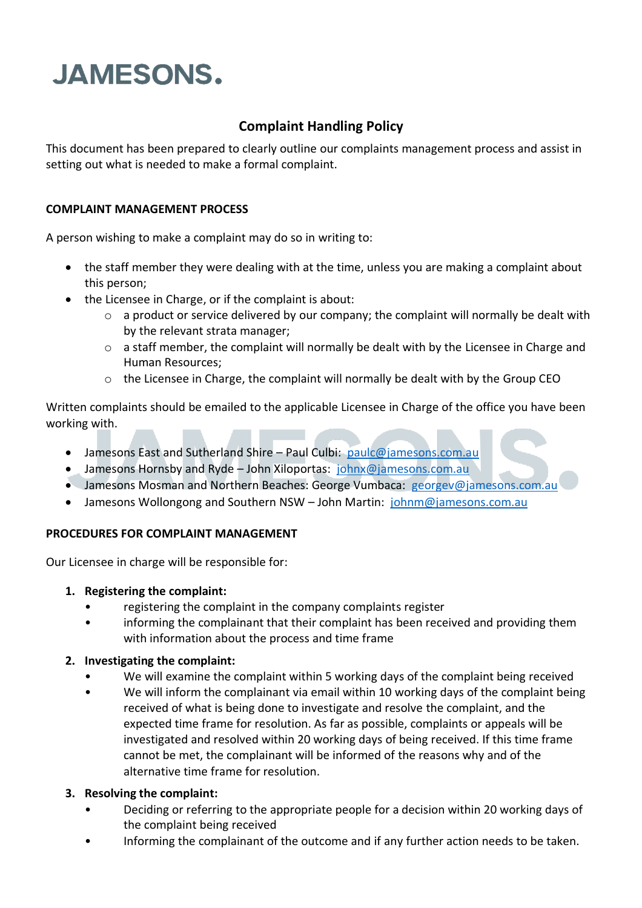# **JAMESONS.**

## **Complaint Handling Policy**

This document has been prepared to clearly outline our complaints management process and assist in setting out what is needed to make a formal complaint.

### **COMPLAINT MANAGEMENT PROCESS**

A person wishing to make a complaint may do so in writing to:

- the staff member they were dealing with at the time, unless you are making a complaint about this person;
- the Licensee in Charge, or if the complaint is about:
	- o a product or service delivered by our company; the complaint will normally be dealt with by the relevant strata manager;
	- o a staff member, the complaint will normally be dealt with by the Licensee in Charge and Human Resources;
	- $\circ$  the Licensee in Charge, the complaint will normally be dealt with by the Group CEO

Written complaints should be emailed to the applicable Licensee in Charge of the office you have been working with.

- Jamesons East and Sutherland Shire Paul Culbi: [paulc@jamesons.com.au](mailto:paulc@jamesons.com.au)
- Jamesons Hornsby and Ryde John Xiloportas: [johnx@jamesons.com.au](mailto:johnx@jamesons.com.au)
- Jamesons Mosman and Northern Beaches: George Vumbaca: [georgev@jamesons.com.au](mailto:georgev@jamesons.com.au)
- Jamesons Wollongong and Southern NSW John Martin: [johnm@jamesons.com.au](mailto:johnm@jamesons.com.au)

#### **PROCEDURES FOR COMPLAINT MANAGEMENT**

Our Licensee in charge will be responsible for:

- **1. Registering the complaint:**
	- registering the complaint in the company complaints register
	- informing the complainant that their complaint has been received and providing them with information about the process and time frame

#### **2. Investigating the complaint:**

- We will examine the complaint within 5 working days of the complaint being received
- We will inform the complainant via email within 10 working days of the complaint being received of what is being done to investigate and resolve the complaint, and the expected time frame for resolution. As far as possible, complaints or appeals will be investigated and resolved within 20 working days of being received. If this time frame cannot be met, the complainant will be informed of the reasons why and of the alternative time frame for resolution.

#### **3. Resolving the complaint:**

- Deciding or referring to the appropriate people for a decision within 20 working days of the complaint being received
- Informing the complainant of the outcome and if any further action needs to be taken.